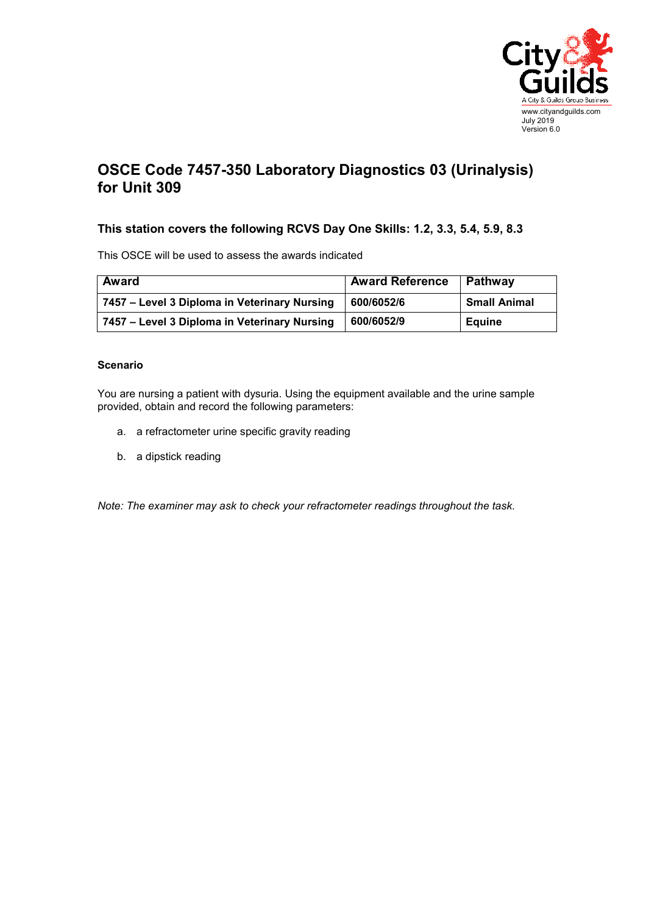

## **OSCE Code 7457-350 Laboratory Diagnostics 03 (Urinalysis) for Unit 309**

## **This station covers the following RCVS Day One Skills: 1.2, 3.3, 5.4, 5.9, 8.3**

This OSCE will be used to assess the awards indicated

| Award                                        | <b>Award Reference</b> | Pathway             |
|----------------------------------------------|------------------------|---------------------|
| 7457 - Level 3 Diploma in Veterinary Nursing | 600/6052/6             | <b>Small Animal</b> |
| 7457 – Level 3 Diploma in Veterinary Nursing | 600/6052/9             | <b>Equine</b>       |

## **Scenario**

You are nursing a patient with dysuria. Using the equipment available and the urine sample provided, obtain and record the following parameters:

- a. a refractometer urine specific gravity reading
- b. a dipstick reading

*Note: The examiner may ask to check your refractometer readings throughout the task.*